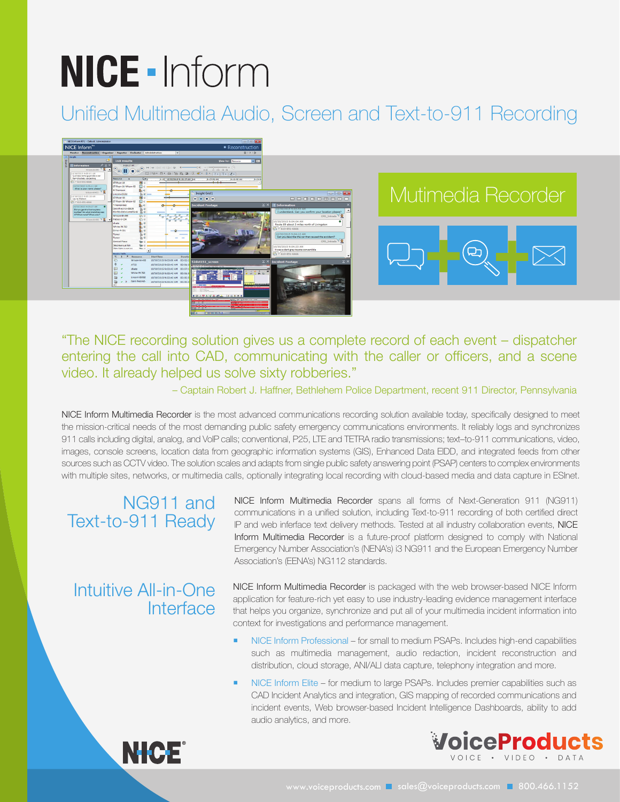# **NICE - Inform**

# Unified Multimedia Audio, Screen and Text-to-911 Recording



"The NICE recording solution gives us a complete record of each event – dispatcher entering the call into CAD, communicating with the caller or officers, and a scene video. It already helped us solve sixty robberies."

– Captain Robert J. Haffner, Bethlehem Police Department, recent 911 Director, Pennsylvania

NICE Inform Multimedia Recorder is the most advanced communications recording solution available today, specifically designed to meet the mission-critical needs of the most demanding public safety emergency communications environments. It reliably logs and synchronizes 911 calls including digital, analog, and VoIP calls; conventional, P25, LTE and TETRA radio transmissions; text–to-911 communications, video, images, console screens, location data from geographic information systems (GIS), Enhanced Data EIDD, and integrated feeds from other sources such as CCTV video. The solution scales and adapts from single public safety answering point (PSAP) centers to complex environments with multiple sites, networks, or multimedia calls, optionally integrating local recording with cloud-based media and data capture in ESInet.

## NG911 and Text-to-911 Ready

### Intuitive All-in-One **Interface**

NICE Inform Multimedia Recorder spans all forms of Next-Generation 911 (NG911) communications in a unified solution, including Text-to-911 recording of both certified direct IP and web inferface text delivery methods. Tested at all industry collaboration events, NICE Inform Multimedia Recorder is a future-proof platform designed to comply with National Emergency Number Association's (NENA's) i3 NG911 and the European Emergency Number Association's (EENA's) NG112 standards.

NICE Inform Multimedia Recorder is packaged with the web browser-based NICE Inform application for feature-rich yet easy to use industry-leading evidence management interface that helps you organize, synchronize and put all of your multimedia incident information into context for investigations and performance management.

- NICE Inform Professional for small to medium PSAPs. Includes high-end capabilities such as multimedia management, audio redaction, incident reconstruction and distribution, cloud storage, ANI/ALI data capture, telephony integration and more.
- NICE Inform Elite for medium to large PSAPs. Includes premier capabilities such as CAD Incident Analytics and integration, GIS mapping of recorded communications and incident events, Web browser-based Incident Intelligence Dashboards, ability to add audio analytics, and more.